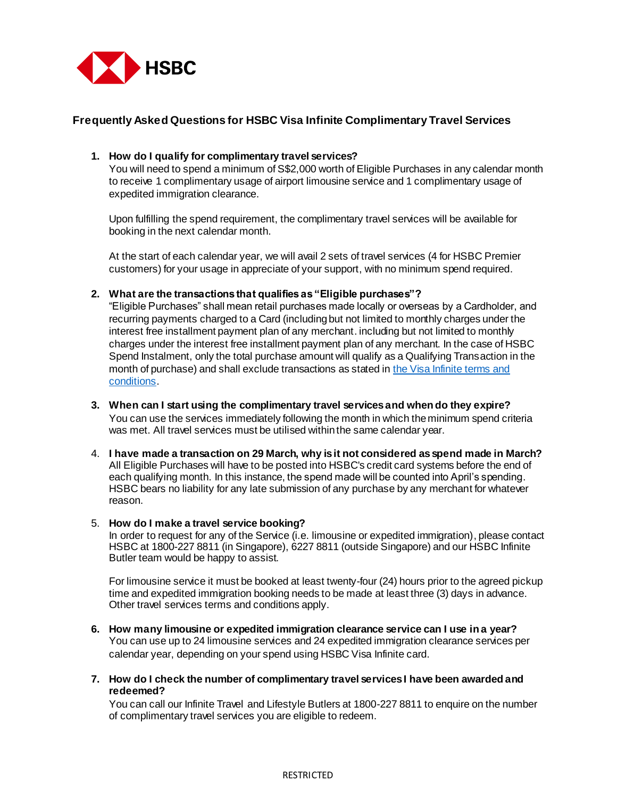

# **Frequently Asked Questions for HSBC Visa Infinite Complimentary Travel Services**

## **1. How do I qualify for complimentary travel services?**

You will need to spend a minimum of S\$2,000 worth of Eligible Purchases in any calendar month to receive 1 complimentary usage of airport limousine service and 1 complimentary usage of expedited immigration clearance.

Upon fulfilling the spend requirement, the complimentary travel services will be available for booking in the next calendar month.

At the start of each calendar year, we will avail 2 sets of travel services (4 for HSBC Premier customers) for your usage in appreciate of your support, with no minimum spend required.

## **2. What are the transactions that qualifies as "Eligible purchases"?**

"Eligible Purchases" shall mean retail purchases made locally or overseas by a Cardholder, and recurring payments charged to a Card (including but not limited to monthly charges under the interest free installment payment plan of any merchant. including but not limited to monthly charges under the interest free installment payment plan of any merchant. In the case of HSBC Spend Instalment, only the total purchase amount will qualify as a Qualifying Transaction in the month of purchase) and shall exclude transactions as stated in the Visa Infinite terms and [conditions](https://cdn.hsbc.com.sg/content/dam/hsbc/sg/documents/credit-cards/visa-infinite/terms-and-conditions.pdf).

- **3. When can I start using the complimentary travel services and when do they expire?**  You can use the services immediately following the month in which the minimum spend criteria was met. All travel services must be utilised within the same calendar year.
- 4. **I have made a transaction on 29 March, why is it not considered as spend made in March?**  All Eligible Purchases will have to be posted into HSBC's credit card systems before the end of each qualifying month. In this instance, the spend made will be counted into April's spending. HSBC bears no liability for any late submission of any purchase by any merchant for whatever reason.

#### 5. **How do I make a travel service booking?**

In order to request for any of the Service (i.e. limousine or expedited immigration), please contact HSBC at 1800-227 8811 (in Singapore), 6227 8811 (outside Singapore) and our HSBC Infinite Butler team would be happy to assist.

For limousine service it must be booked at least twenty-four (24) hours prior to the agreed pickup time and expedited immigration booking needs to be made at least three (3) days in advance. Other travel services terms and conditions apply.

- **6. How many limousine or expedited immigration clearance service can I use in a year?** You can use up to 24 limousine services and 24 expedited immigration clearance services per calendar year, depending on your spend using HSBC Visa Infinite card.
- **7. How do I check the number of complimentary travel services I have been awarded and redeemed?**

You can call our Infinite Travel and Lifestyle Butlers at 1800-227 8811 to enquire on the number of complimentary travel services you are eligible to redeem.